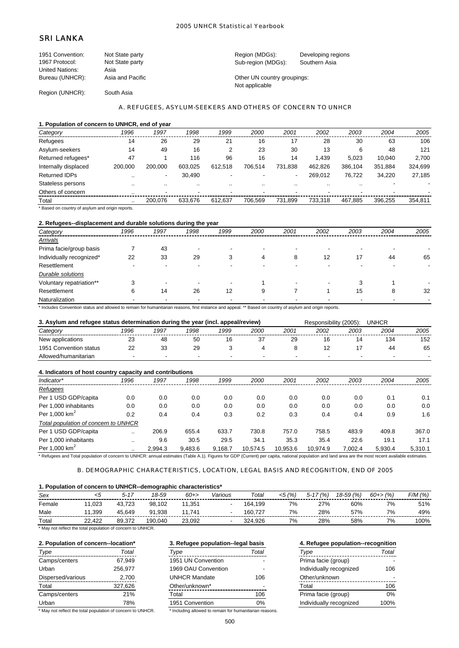### 2005 UNHCR Statistical Yearbook

# SRI LANKA

| 1951 Convention: | Not State party  | Region (MDGs):              | Developing regions |
|------------------|------------------|-----------------------------|--------------------|
| 1967 Protocol:   | Not State party  | Sub-region (MDGs):          | Southern Asia      |
| United Nations:  | Asia             |                             |                    |
| Bureau (UNHCR):  | Asia and Pacific | Other UN country groupings: |                    |
|                  |                  | Not applicable              |                    |
| Region (UNHCR):  | South Asia       |                             |                    |

### A. REFUGEES, ASYLUM-SEEKERS AND OTHERS OF CONCERN TO UNHCR

### **1. Population of concern to UNHCR, end of year**

| Category             | 1996    | 1997    | 1998    | 1999    | 2000    | 2001    | 2002    | 2003    | 2004    | 2005    |
|----------------------|---------|---------|---------|---------|---------|---------|---------|---------|---------|---------|
| Refugees             | 14      | 26      | 29      | 21      | 16      | 17      | 28      | 30      | 63      | 106     |
| Asylum-seekers       | 14      | 49      | 16      |         | 23      | 30      | 13      | 6       | 48      | 121     |
| Returned refugees*   | 47      |         | 116     | 96      | 16      | 14      | 1.439   | 5.023   | 10.040  | 2,700   |
| Internally displaced | 200.000 | 200.000 | 603.025 | 612.518 | 706.514 | 731.838 | 462.826 | 386,104 | 351,884 | 324,699 |
| <b>Returned IDPs</b> |         | -       | 30,490  |         |         |         | 269.012 | 76.722  | 34.220  | 27,185  |
| Stateless persons    |         |         |         |         |         |         |         | $\cdot$ |         |         |
| Others of concern    |         | -       |         |         |         |         |         |         |         |         |
| Total                |         | 200.076 | 633.676 | 612.637 | 706.569 | 731.899 | 733.318 | 467.885 | 396.255 | 354.811 |

\* Based on country of asylum and origin reports.

# **2. Refugees--displacement and durable solutions during the year**

| Category                 | 1996    | 1997                     | 1998                     | 1999                     | 2000 | 2001 | 2002 | 2003 | 2004 | 2005 |
|--------------------------|---------|--------------------------|--------------------------|--------------------------|------|------|------|------|------|------|
| <b>Arrivals</b>          |         |                          |                          |                          |      |      |      |      |      |      |
| Prima facie/group basis  |         | 43                       | -                        |                          |      |      |      |      |      |      |
| Individually recognized* | 22      | 33                       | 29                       | 3                        | 4    | 8    | 12   | 17   | 44   | 65   |
| Resettlement             |         | $\overline{\phantom{a}}$ |                          |                          |      |      |      |      |      |      |
| <b>Durable solutions</b> |         |                          |                          |                          |      |      |      |      |      |      |
| Voluntary repatriation** | ີ<br>C. | $\blacksquare$           | $\overline{\phantom{a}}$ | $\overline{\phantom{a}}$ |      |      |      | 3    |      |      |
| Resettlement             | 6       | 14                       | 26                       | 12                       | 9    |      |      | 15   | 8    | 32   |
| Naturalization           |         |                          |                          |                          |      |      |      |      |      |      |

\* Includes Convention status and allowed to remain for humanitarian reasons, first instance and appeal. \*\* Based on country of asylum and origin reports.

### **3. Asylum and refugee status determination during the year (incl. appeal/review)** Responsibility (2005): UNHCR *Category 1996 1997 1998 1999 2000 2001 2002 2003 2004 2005*

| <i>categorv</i><br>.       | 1990 | 1997                     | 998          | 1999 | zuuu    | ZUU 1 | ZUUZ | zuus | 2004 | zuus |
|----------------------------|------|--------------------------|--------------|------|---------|-------|------|------|------|------|
| New applications           |      | 48                       | 50           |      | ^¬<br>ູ | 29    |      |      | 134  | 152  |
| 1951.<br>Convention status |      | $\sim$<br>JJ             | $\sim$<br>29 |      |         |       |      |      | 44   | 65   |
| Allowed/humanitarian       |      | $\overline{\phantom{a}}$ | -            |      |         |       |      |      |      |      |
|                            |      |                          |              |      |         |       |      |      |      |      |

| 4. Indicators of host country capacity and contributions                                                                                                                                                                      |           |         |         |         |          |          |          |         |         |         |
|-------------------------------------------------------------------------------------------------------------------------------------------------------------------------------------------------------------------------------|-----------|---------|---------|---------|----------|----------|----------|---------|---------|---------|
| Indicator*                                                                                                                                                                                                                    | 1996      | 1997    | 1998    | 1999    | 2000     | 2001     | 2002     | 2003    | 2004    | 2005    |
| Refugees                                                                                                                                                                                                                      |           |         |         |         |          |          |          |         |         |         |
| Per 1 USD GDP/capita                                                                                                                                                                                                          | 0.0       | 0.0     | 0.0     | 0.0     | 0.0      | 0.0      | 0.0      | 0.0     | 0.1     | 0.1     |
| Per 1.000 inhabitants                                                                                                                                                                                                         | 0.0       | 0.0     | 0.0     | 0.0     | 0.0      | 0.0      | 0.0      | 0.0     | 0.0     | 0.0     |
| Per 1.000 $km2$                                                                                                                                                                                                               | 0.2       | 0.4     | 0.4     | 0.3     | 0.2      | 0.3      | 0.4      | 0.4     | 0.9     | 1.6     |
| Total population of concern to UNHCR                                                                                                                                                                                          |           |         |         |         |          |          |          |         |         |         |
| Per 1 USD GDP/capita                                                                                                                                                                                                          |           | 206.9   | 655.4   | 633.7   | 730.8    | 757.0    | 758.5    | 483.9   | 409.8   | 367.0   |
| Per 1,000 inhabitants                                                                                                                                                                                                         |           | 9.6     | 30.5    | 29.5    | 34.1     | 35.3     | 35.4     | 22.6    | 19.1    | 17.1    |
| Per 1,000 $km^2$                                                                                                                                                                                                              | $\cdot$ . | 2.994.3 | 9.483.6 | 9.168.7 | 10.574.5 | 10.953.6 | 10.974.9 | 7.002.4 | 5.930.4 | 5.310.1 |
| $*$ By factorization of the contribution of the second of the $44$ Pactorization of the contract of the second contract of the second contract of the second contract of the second of the second contract of the second of t |           |         |         |         |          |          |          |         |         |         |

Refugees and Total population of concern to UNHCR: annual estimates (Table A.1). Figures for GDP (Current) per capita, national population and land area are the most recent available estimates.

### B. DEMOGRAPHIC CHARACTERISTICS, LOCATION, LEGAL BASIS AND RECOGNITION, END OF 2005

### **1. Population of concern to UNHCR--demographic characteristics\***

| Sex                                 |        | $5 - 17$     | 18-59   | $60+$  | Various | Total   | (%)<br><5 | $^{\cdot}$ (% ,<br>$5 - 17$ | $18-59(%)$ | $60 + > \frac{9}{6}$ | F/M (%) |
|-------------------------------------|--------|--------------|---------|--------|---------|---------|-----------|-----------------------------|------------|----------------------|---------|
| Female                              | .023   | 43.723       | 98.102  | .351   |         | 164.199 | 7%        | 27%                         | 60%        | 7%                   | 51%     |
| Male<br>$\sim$ $\sim$ $\sim$ $\sim$ | .399   | 45.649       | 91.938  | 741    |         | 160.727 | 7%        | 28%                         | 57%        | 7%                   | 49%     |
| Total                               | 22.422 | 377.،<br>89. | 190.040 | 23.092 |         | 324.926 | 7%        | 28%                         | 58%        | 7%                   | 100%    |

\* May not reflect the total population of concern to UNHCR.

| Type              | Total   | Type                 | Total | Type                    | Total |
|-------------------|---------|----------------------|-------|-------------------------|-------|
| Camps/centers     | 67.949  | 1951 UN Convention   |       | Prima facie (group)     |       |
| Urban             | 256.977 | 1969 OAU Convention  |       | Individually recognized | 106   |
| Dispersed/various | 2,700   | <b>UNHCR Mandate</b> | 106   | Other/unknown           |       |
| Total             | 327.626 | Other/unknown*       |       | Total                   | 106   |
| Camps/centers     | 21%     | Total                | 106   | Prima facie (group)     | 0%    |
| Urban             | 78%     | 1951 Convention      | 0%    | Individually recognized | 100%  |

\* May not reflect the total population of concern to UNHCR. \* Including allowed to remain for humanitarian reasons.

# **2. Population of concern--location\* 3. Refugee population--legal basis 4. Refugee population--recognition** Camps/centers 67,949 1951 UN Convention - Prima facie (group) - 1969 OAU Convention -UNHCR Mandate 106 Other/unknown\* 1951 Convention 0%

| эe                      | Total |
|-------------------------|-------|
| Prima facie (group)     |       |
| Individually recognized | 106   |
| Other/unknown           |       |
| Total                   | 106   |
| Prima facie (group)     | 0%    |
| Individually recognized | 100%  |